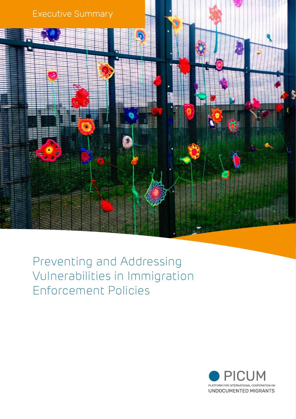

Preventing and Addressing Vulnerabilities in Immigration Enforcement Policies

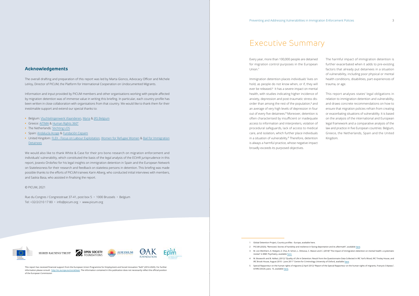# Executive Summary

3 M. von Werthern, K. Robjant, Z. Chui, R. Schon, L. Ottisova, C. Mason and C. (2018)" The impact of immigration detention on mental health: a systematic

- 2 PICUM (2020), "Removed. Stories of hardship and resilience in facing deportation and its aftermath", available here.
- review" in BMC Psychiatry, available here.
- IRC Brook House, August 2010 June 2011" Centre for Criminology University of Oxford, available here.
- A/HRC/20/24, para. 15, available here.

4 M. Bosworth and B. Kellezi, (2012) "Quality of Life in Detention: Result from the Questionnaire Data Collected in IRC Yarl's Wood, IRC Tinsley House, and

5 Special Rapporteur on the human rights of migrants (2 April 2012) "Report of the Special Rapporteur on the human rights of migrants, François Crépeau",

Every year, more than 100,000 people are detained for migration control purposes in the European Union.<sup>1</sup>

Immigration detention places individuals' lives on hold, as people do not know when, or if, they will ever be released.<sup>2</sup> It has a severe impact on mental health, with studies indicating higher incidence of anxiety, depression and post-traumatic stress disorder than among the rest of the population,<sup>3</sup> and an average of very high levels of depression in four out of every five detainees.<sup>4</sup> Moreover, detention is often characterised by insufficient or inadequate access to information and interpreters, violation of procedural safeguards, lack of access to medical care, and isolation, which further place individuals in a situation of vulnerability.<sup>5</sup> Therefore, detention is always a harmful practice, whose negative impact broadly exceeds its purposed objectives. health conditions, disabilities, part experiences of trauma, or age. This report analyses states' legal obligations in relation to immigration detention and vulnerability, and draws concrete recommendations on how to ensure that migration policies refrain from creating or exacerbating situations of vulnerability. It is based on the analysis of the international and European legal framework and a comparative analysis of the law and practice in five European countries: Belgium, Greece, the Netherlands, Spain and the United Kingdom.

| The harmful impact of immigration detention is       |
|------------------------------------------------------|
| further exacerbated when it adds to pre-existing     |
| factors that already put detainees in a situation    |
| of vulnerability, including poor physical or mental  |
| health conditions, disabilities, part experiences of |
| trauma, or age.                                      |
|                                                      |

Rue du Congres / Congresstraat 37-41, post box 5 · 1000 Brussels · Belgium Tel: +32/2/210 17 80 • info@picum.org • www.picum.org



# **Acknowledgements**

The overall drafting and preparation of this report was led by Marta Gionco, Advocacy Officer and Michele LeVoy, Director of PICUM, the Platform for International Cooperation on Undocumented Migrants.

Information and input provided by PICUM members and other organisations working with people affected by migration detention was of immense value in writing this briefing. In particular, each country profile has been written in close collaboration with organisations from that country. We would like to thank them for their inestimable support and extend our special thanks to:

- **•** Belgium: Vluchtelingenwerk Vlaanderen, Myria & JRS Belgium
- **•** Greece: AITIMA & Human Rights 360°
- **•** The Netherlands: Stichting LOS
- **•** Spain: Andalucía Acoge & Fundación Cepaim
- **•** United Kingdom: FLEX Focus on Labour Exploitation, Women for Refugee Women & Bail for Immigration Detainees

We would also like to thank White & Case for their pro bono research on migration enforcement and individuals' vulnerability, which constituted the basis of the legal analysis of the ECtHR jurisprudence in this report, Josexto Ordoñez for his legal insights on immigration detention in Spain and the European Network on Statelessness for their research and feedback on stateless persons in detention. This briefing was made possible thanks to the efforts of PICUM trainees Karin Alberg, who conducted initial interviews with members, and Saskia Basa, who assisted in finalising the report.

### © PICUM, 2021

This report has received financial support from the European Union Programme for Employment and Social Innovation "EaSI" (2014-2020). For further information please consult: http://ec.europa.eu/social/easi. The information contained in this publication does not necessarily reflect the official position of the European Commission

<sup>1</sup> Global Detention Project, Country profiles - Europe, available here.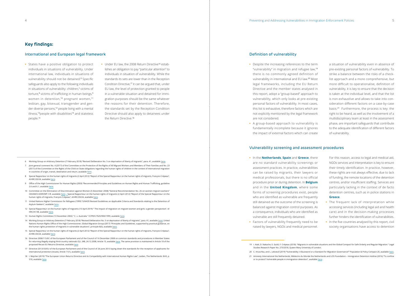# **Key findings:**

#### International and European legal framework

- 11 United Nations Higher Commission for Refugees (1999) "UNHCR Revised Guidelines on Applicable Criteria and Standards relating to the Detention of Asylum-Seekers", available here.
- 12 Special Rapporteur on the human rights of migrants (15 April 2019) " The impact of migration on migrant women and girls: a gender perspective", A/ HRC/41/38, available here.
- 13 Human Rights Committee (13 November 2002) " C. v. Australia " CCPR/C/76/D/900/1999, available here.
- 14 Working Group on Arbitrary Detention (7 February 2018) "Revised Deliberation No. 5 on deprivation of liberty of migrants", para. 41, available here; United Nations Human Rights Office of the High Commissioner, Global Migration Group (2017) "Principles and Guidelines, supported by practical guidance, on the human rights protection of migrants in vulnerable situations", principle 8(3), available here.
- 15 Special Rapporteur on the human rights of migrants (2 April 2012) "Report of the Special Rapporteur on the human rights of migrants, François Crépeau", A/HRC/20/24, available here.
- 16 Directive 2008/115/EC of the European Parliament and of the Council of 16 December 2008 on common standards and procedures in Member States for returning illegally staying third-country nationals OJ L 348, 24.12.2008, Article 15, available here. The same provision is maintained in Article 18 of the proposed Recast EU Returns Directive, available here
- 17 Directive 2013/33/EU of the European Parliament and of the Council of 26 June 2013 laying down the standards for the reception of applicants for international protection (recast), Article 11(1), available here.
- 18 I. Majcher (2019) "The European Union Returns Directive and its Compatibility with International Human Rights Law", Leiden, The Netherlands: Brill, p. 518, available here.

20 C. Hruschka, and L. Leboeuf (2019) "Vulnerability: A Buzzword or a Standard for Migration Governance?" Population & Policy Compact 20, available here. 21 Amnesty International the Netherlands, Médecins du Monde the Netherlands and LOS Foundation – Immigration Detention Hotline (2016) "To confine

- **•** States have a positive obligation to protect individuals in situations of vulnerability. Under international law, individuals in situations of vulnerability should not be detained.<sup>6</sup> Specific safeguards also apply to the following individuals in situations of vulnerability: children,7 victims of torture,<sup>8</sup> victims of trafficking in human beings,<sup>9</sup> women in detention,<sup>10</sup> pregnant women,<sup>11</sup> lesbian, gay, bisexual, transgender and gender-diverse persons,<sup>12</sup> people living with a mental illness,<sup>13</sup>people with disabilities<sup>14</sup> and stateless people.<sup>15</sup>
- **•** Under EU law, the 2008 Return Directive<sup>16</sup> establishes an obligation to pay "particular attention" to individuals in situation of vulnerability. While the standards its sets are lower than in the Reception Condition Directive,<sup>17</sup> it can be argued that, under EU law, the level of protection granted to people in a vulnerable situation and detained for immigration purposes should be the same whatever the reasons for their detention. Therefore, the standards set by the Reception Condition Directive should also apply to detainees under the Return Directive.<sup>18</sup>

### Definition of vulnerability

- 
- or to protect? Vulnerable people in immigration detention", available here.
- **•** Despite the increasing references to the term "vulnerability" in migration and refugee law,<sup>19</sup> there is no commonly agreed definition of vulnerability in international and EU law.20 Most legal frameworks, including the EU Return Directive and the member states analysed in this report, adopt a "group-based" approach to vulnerability, which only looks at pre-existing personal factors of vulnerability. In most cases, this list is exhaustive, therefore factors which are not explicitly mentioned by the legal framework are not considered.
- **•** A group-based approach to vulnerability is fundamentally incomplete because it ignores the impact of external factors which can create

a situation of vulnerability even in absence of pre-existing personal factors of vulnerability. To strike a balance between the risks of a checklist approach and a more comprehensive, but more difficult to operationalise, definition of vulnerability, it is key to ensure that the decision is taken at the individual level, and that the list is non-exhaustive and allows to take into consideration different factors on a case-by-case basis.21 Furthermore, the process is key: the right to be heard, as well as the involvement of a multidisciplinary team at least in the assessment phase, are important safeguards that contribute to the adequate identification of different factors of vulnerability.

# Vulnerability screening and assessment procedures

- **•** In the **Netherlands**, **Spain** and **Greece**, there are no standard vulnerability screenings or assessment practices. In practice, vulnerabilities can be raised by migrants, their lawyers or medical professionals, but there is no official procedure prior or during detention. In **Belgium** and in the **United Kingdom**, where some forms of screening procedures exist, people who are identified as vulnerable are frequently still detained as the outcome of the screening is balanced against migration control purposes. As a consequence, individuals who are identified as vulnerable are still frequently detained. NGOs services and interpretation is key to ensure their timely identification. In practice, however, these rights are not always effective, due to lack of funding, the remote locations of the detention centres, and/or insufficient staffing. Services are particularly lacking in the context of de facto detention centres, such as in police stations in **Greece**. **•** The frequent lack of interpretation while accessing services (including legal aid and health care) and in the decision-making processes further hinders the identification of vulnerabilities.
- **•** Factors of vulnerability frequently need to be raised by lawyers, NGOs and medical personnel.

For this reason, access to legal and medical aid,

**•** In the five countries analysed by this report, civil society organisations have access to detention

<sup>6</sup> Working Group on Arbitrary Detention (7 February 2018) "Revised Deliberation No. 5 on deprivation of liberty of migrants", para. 41, available here.

<sup>7</sup> Joint general comment No. 4 (2017) of the Committee on the Protection of the Rights of All Migrant Workers and Members of Their Families and No. 23 (2017) of the Committee on the Rights of the Child on State obligations regarding the human rights of children in the context of international migration in countries of origin, transit, destination and return, available here.

<sup>8</sup> Special Rapporteur on the human rights of migrants (2 April 2012) "Report of the Special Rapporteur on the human rights of migrants, François Crépeau", .<br>A/HRC/20/24, available here.

<sup>9</sup> Office of the High Commissioner for Human Rights (2003) "Recommended Principles and Guidelines on Human Rights and Human Trafficking, guideline 2.6 and 6.1, available here.

<sup>10</sup> Committee on the Elimination of Discrimination against Women (5 December 2008) "General Recommendation No. 26 on women migrant workers" CEDAW/C/2009/WP.1/R, available here. ; Special Rapporteur on the human rights of migrants (2 April 2012) "Report of the Special Rapporteur on the human rights of migrants, François Crépeau", A/HRC/20/24, available here.

<sup>19</sup> I. Atak, D. Nakache, E. Guild, F. Crépeau (2018). "Migrants in vulnerable situations and the Global Compact for Safe Orderly and Regular Migration." Legal Studies Research Paper No. 273/2018, Queen Mary University of London.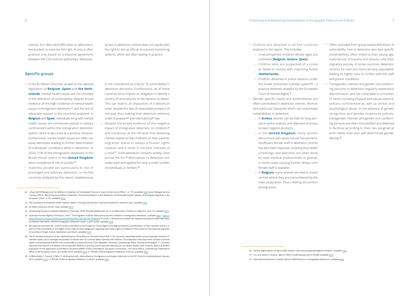centres, but often face difficulties or administrative burdens to exercise this right. Access is often granted only based on a bilateral agreement between the CSO and the authorities. Moreover,

> is not considered as a factor of vulnerability in detention decisions. Furthermore, all of these countries fail to impose an obligation to identify a country of removal prior to the decision to detain. This can lead to an imposition of a detention order despite the lack of reasonable prospect of removal, thus making their detention arbitrary under European<sup>24</sup> and international<sup>25</sup> law.

> access to detention centres does not equate with the right to set up official structured monitoring systems, which are often lacking in practice.

## Specific groups

- **•** In the EU Return Directive, as well as the national legislation of **Belgium**, **Spain** and **the Netherlands**, mental health issues are not included in the definition of vulnerability, despite broad evidence of the high incidence of mental health issues in immigration detention,<sup>22</sup> and the lack of adequate support in the countries analysed. In **Belgium** and **Spain**, individuals living with mental health issues are sometimes placed in solitary confinement within the immigration detention system, which is also used as a punitive measure. Furthermore, mental health issues are often too easily dismissed, leading to further deterioration of individuals' conditions while in detention. In 2020, 51% of the immigration detainees in the Brook House centre in the **United Kingdom** were considered at risk of suicide.<sup>23</sup>
- **•** Stateless people are particularly at risk of prolonged and arbitrary detention. In the five countries analysed by this report, statelessness
- **•** Despite the broad evidence of the negative impact of immigration detention on children,<sup>26</sup> and consensus at the UN level that detaining children based on the children's or their parents' migration status is always a human rights violation and is never in the best interests of a child,<sup>27</sup> child detention remains widely used across the EU.28 Alternatives to detention are underused and applied for only a small number of individuals or families.<sup>29</sup>
- 22 . Shaw (2016)"Review into the Welfare in Detention of Vulnerable Persons A report to the Home Office", p. 175, available here; Jesuit Refugee Service - Europe (2010), "Becoming Vulnerable in Detention: Civil Society Report on the Detention of Vulnerable Asylum Seekers and Irregular Migrants in the European Union", p. 92, available here.
- 23 The Guardian (13 November 2020) "Asylum seekers crossing Channel face 'inhumane treatment', observers say", available here.
- 24 EU Return Directive, Article 15(4), available here.
- 25 UN Working Group on Arbitrary Detention (7 February 2018) "Revised Deliberation No. 5 on deprivation of liberty of migrants", para. 27, available here.
- 26 Australian Human Rights Commission, 2014, "The forgotten children: National Inquiry into Children in Immigration Detention", available here. ; https:// www.thelancet.com/journals/lancet/article/PIIS0140-6736(18)31567-8/fulltext; A. Lorek, K. Ehntholt et al (2009)"The mental and physical health difficulties of children held within a British immigration detention center: a pilot study", available here.
- 27 Ioint general comment No. 4 (2017) of the Committee on the Protection of the Rights of All Migrant Workers and Members of Their Families and No. 23 (2017) of the Committee on the Rights of the Child on State obligations regarding the human rights of children in the context of international migration in countries of origin, transit, destination and return, available here.
- 28 The EU-funded evaluation of the implementation of the Returns' Directive found that 17 EU countries reportedly detain unaccompanied children (15 member states, and 2 Schengen Associated Countries) and 19 countries detain families with children. The evaluation notes that some of these countries detain unaccompanied children only occasionally in practice (Austria, Czech Republic, Lithuania, Luxembourg, Malta, Slovenia and Sweden). 11 countries reported that they do not detain unaccompanied children in practice and 8 reported that they do not detain families with children. Matrix & ICMPD, Evaluation on the application of the Return Directive (2008/115/EC), Final Report, European Commission – DG Home Affairs, Luxembourg: Publications Office of the European Union, 22 October 2013, available here; c.f. PICUM, Child Immigration Detention in the EU, available here.
- 29 A. Bloomfield, E. Tsourdi, J. Pétin, P. de Bruycker (ed.), Alternatives to Immigration and Asylum Detention in the EU: Time for Implementation, January 2015, available here; c.f. PICUM, Child Immigration Detention in the EU, available here.
- **•** Children are detained in all five countries analysed in the report. This includes: » Unaccompanied children whose ages are contested (**Belgium**, **Greece**, **Spain**); » Children who are suspected of a crime or failed to comply with reporting duties (**Netherlands**); » Children detained in police stations under **•** Often excluded from group-based definitions of vulnerability, men in detention also face specific vulnerabilities, often linked to their young age, experiences of trauma and abuses, and their migratory journey. In some countries, detention centres for men are more densely populated, leading to higher risks of conflict with the staff and poorer conditions.
- 
- 
- the Greek "protective custody" system<sup>30</sup> a practice deemed unlawful by the European Court of Human Rights.<sup>31</sup> » In **Greece**, women can be held for long periods in police stations and deprived of access to basic hygiene products. » In the **United Kingdom**, many women denounced pervasive sexual harassment. **•** Transgender, intersex and gender non-conforming persons in detention regularly experience discrimination and are vulnerable to a number of harms including physical and sexual violence, solitary confinement as well as verbal and psychological abuse. In the absence of gender recognition and gender responsive policies, transgender, intersex and gender non-conforming persons are often misclassified and detained in facilities according to their sex assigned at birth rather than their self-determined gender identity.<sup>32</sup>
- **•** Gender-specific needs and vulnerabilities are often overlooked in detention centres. Women face particular obstacles which can exacerbate vulnerabilities in detention.
- - Insufficient female staff in detention centres has also been reported, meaning that health screenings and searches are often done by male medical professionals or guards, in some cases causing further delays until female staff is available.
	- » In **Belgium**, some women are held in mixed centres where they are outnumbered by the male population, thus creating discomfort among some.

30 Human Rights Watch (14 April 2020) "Greece: Free Unaccompanied Migrant Children", available here.

- 31 H.A. and others v. Greece- App no 19951/16 (28 February 2019, ECtHR), available here
- 32 International Detention Coalition (2016) "LGBTI Persons in Immigration Detention", available here.
- 
-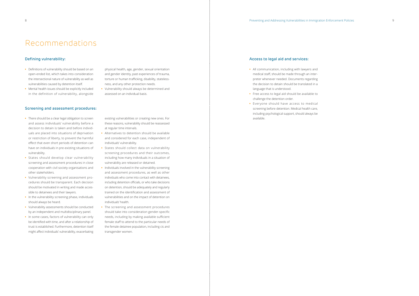# Recommendations

# Defining vulnerability:

- **•** Definitions of vulnerability should be based on an open-ended list, which takes into consideration the intersectional nature of vulnerability as well as vulnerabilities caused by detention itself.
- **•** Mental health issues should be explicitly included in the definition of vulnerability, alongside

physical health, age, gender, sexual orientation and gender identity, past experiences of trauma, torture or human trafficking, disability, statelessness, and any other protection needs.

**•** Vulnerability should always be determined and assessed on an individual basis.

### Screening and assessment procedures:

- **•** There should be a clear legal obligation to screen and assess individuals' vulnerability before a decision to detain is taken and before individuals are placed into situations of deprivation or restriction of liberty, to prevent the harmful effect that even short periods of detention can have on individuals in pre-existing situations of vulnerability.
- **•** States should develop clear vulnerability screening and assessment procedures in close cooperation with civil society organisations and other stakeholders.
- **•** Vulnerability screening and assessment procedures should be transparent. Each decision should be motivated in writing and made accessible to detainees and their lawyers.
- **•** In the vulnerability screening phase, individuals should always be heard.
- **•** Vulnerability assessments should be conducted by an independent and multidisciplinary panel.
- **•** In some cases, factors of vulnerability can only be identified with time, and after a relationship of trust is established. Furthermore, detention itself might affect individuals' vulnerability, exacerbating

existing vulnerabilities or creating new ones. For these reasons, vulnerability should be reassessed at regular time intervals.

- **•** Alternatives to detention should be available and considered for each case, independent of individuals' vulnerability.
- **•** States should collect data on vulnerability screening procedures and their outcomes, including how many individuals in a situation of vulnerability are released or detained.
- **•** Individuals involved in the vulnerability screening and assessment procedures, as well as other individuals who come into contact with detainees, including detention officials, or who take decisions on detention, should be adequately and regularly trained on the identification and assessment of vulnerabilities and on the impact of detention on individuals' health.
- **•** The screening and assessment procedures should take into consideration gender-specific needs, including by making available sufficient female staff to attend to the particular needs of the female detainee population, including cis and transgender women.

## Access to legal aid and services:

- **•** All communication, including with lawyers and medical staff, should be made through an interpreter whenever needed. Documents regarding the decision to detain should be translated in a language that is understood.
- **•** Free access to legal aid should be available to challenge the detention order.
- **•** Everyone should have access to medical screening before detention. Medical health care, including psychological support, should always be available.

- 
- 
- 
- 
- 
- 
-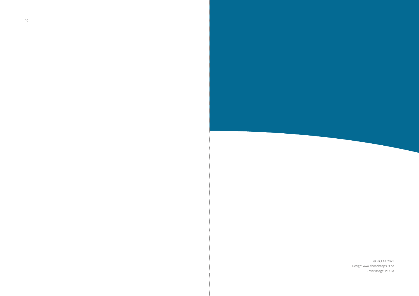© PICUM, 2021 Design: www.chocolatejesus.be Cover image: PICUM

10